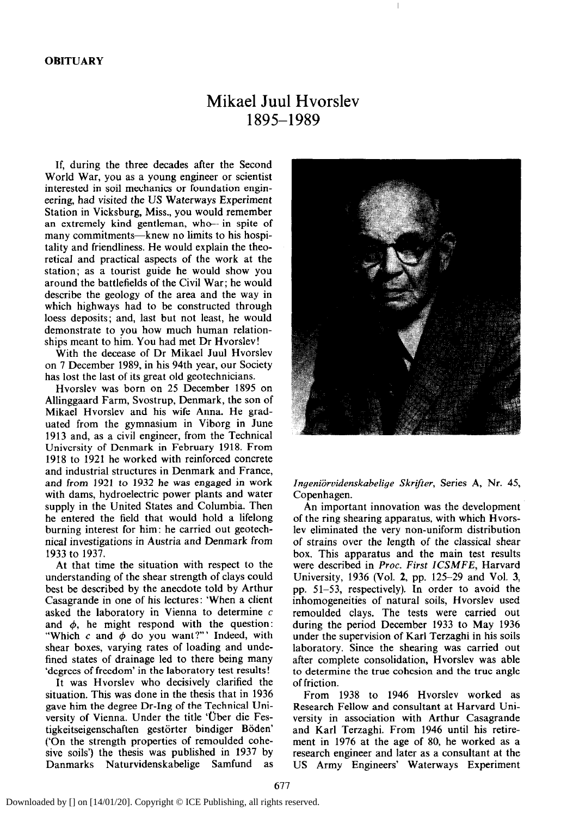## Mikael Juul Hvorslev 1895-1989

If, during the three decades after the Second World War, you as a young engineer or scientist interested in soil mechanics or foundation engineering, had visited the US Waterways Experiment Station in Vicksburg, Miss., you would remember an extremely kind gentleman, who- in spite of many commitments-knew no limits to his hospitality and friendliness. He would explain the theoretical and practical aspects of the work at the station; as a tourist guide he would show you around the battlefields of the Civil War; he would describe the geology of the area and the way in which highways had to be constructed through loess deposits; and, last but not least, he would demonstrate to you how much human relationships meant to him. You had met Dr Hvorslev!

With the decease of Dr Mikael Juul Hvorslev on 7 December 1989, in his 94th year, our Society has lost the last of its great old geotechnicians.

Hvorslev was born on 25 December 1895 on Allinggaard Farm, Svostrup, Denmark, the son of Mikael Hvorslev and his wife Anna. He graduated from the gymnasium in Viborg in June 1913 and, as a civil engineer, from the Technical University of Denmark in February 1918. From 1918 to 1921 he worked with reinforced concrete and industrial structures in Denmark and France, and from 1921 to 1932 he was engaged in work with dams, hydroelectric power plants and water supply in the United States and Columbia. Then he entered the field that would hold a lifelong burning interest for him: he carried out geotechnical investigations in Austria and Denmark from 1933 to 1937.

At that time the situation with respect to the understanding of the shear strength of clays could best be described by the anecdote told by Arthur Casagrande in one of his lectures: 'When a client asked the laboratory in Vienna to determine  $c$ and  $\phi$ , he might respond with the question: "Which c and  $\phi$  do you want?"' Indeed, with shear boxes, varying rates of loading and undefined states of drainage led to there being many 'degrees of freedom' in the laboratory test results!

It was Hvorslev who decisively clarified the situation. This was done in the thesis that in 1936 gave him the degree Dr-Ing of the Technical University of Vienna. Under the title 'Uber die Festigkeitseigenschaften gestörter bindiger Böden' ('On the strength properties of remoulded cohesive soils') the thesis was published in 1937 by Danmarks Naturvidenskabelige Samfund as



*Ingeniijrvidenskabelige Skrifter,* Series A, Nr. 45, Copenhagen.

An important innovation was the development of the ring shearing apparatus, with which Hvorslev eliminated the very non-uniform distribution of strains over the length of the classical shear box. This apparatus and the main test results were described in *Proc. First ZCSMFE,* Harvard University, 1936 (Vol. 2, pp. 125-29 and Vol. 3, pp. 51-53, respectively). In order to avoid the inhomogeneities of natural soils, Hvorslev used remoulded clays. The tests were carried out during the period December 1933 to May 1936 under the supervision of Karl Terzaghi in his soils laboratory. Since the shearing was carried out after complete consolidation, Hvorslev was able to determine the true cohesion and the true angle of friction.

From 1938 to 1946 Hvorslev worked as Research Fellow and consultant at Harvard University in association with Arthur Casagrande and Karl Terzaghi. From 1946 until his retirement in 1976 at the age of 80, he worked as a research engineer and later as a consultant at the US Army Engineers' Waterways Experiment